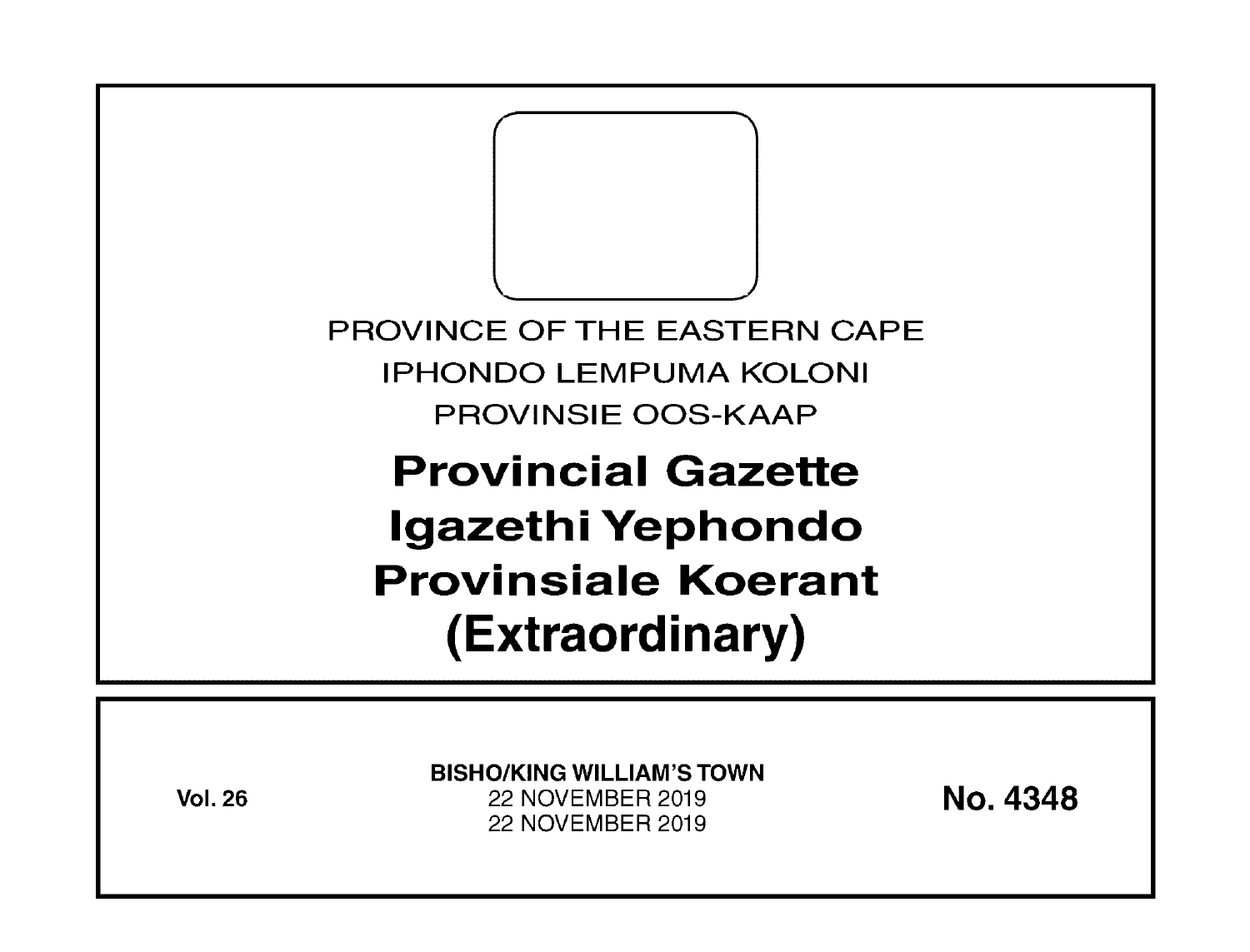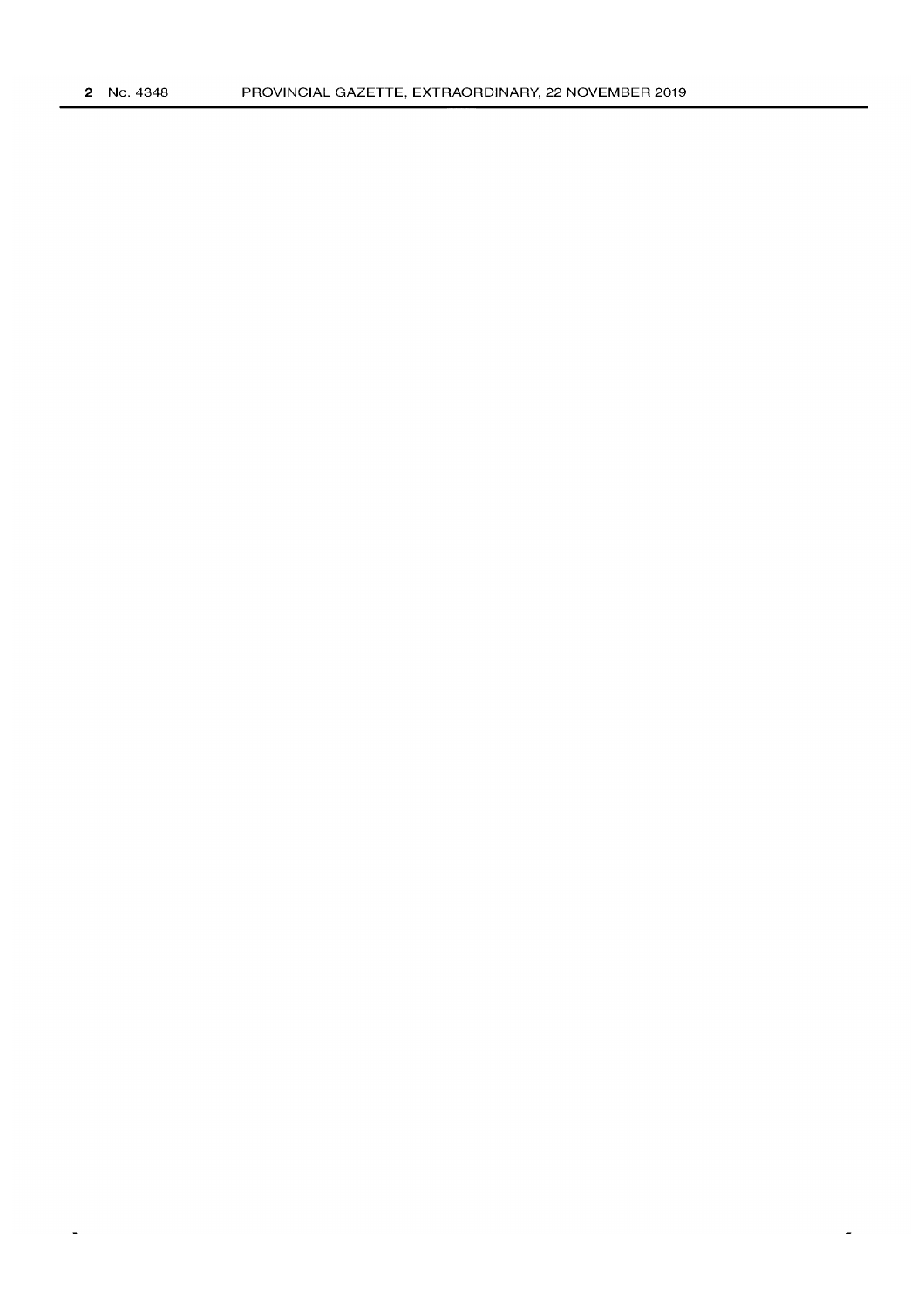$\bar{\mathbf{z}}$ 

 $\tilde{\phantom{a}}$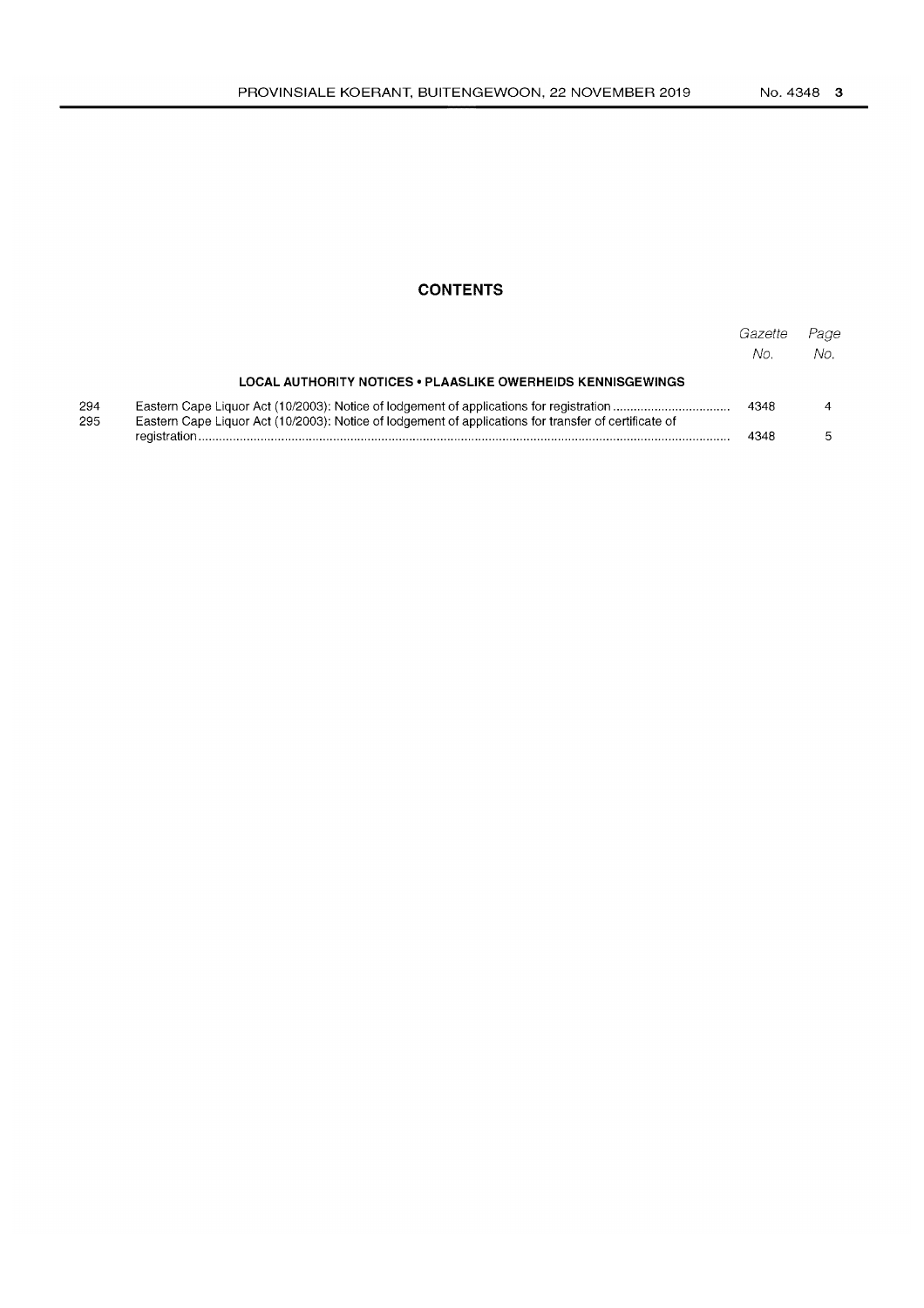# **CONTENTS**

|            |                                                                                                       | Gazette<br>No. | Page<br>No. |
|------------|-------------------------------------------------------------------------------------------------------|----------------|-------------|
|            | LOCAL AUTHORITY NOTICES . PLAASLIKE OWERHEIDS KENNISGEWINGS                                           |                |             |
| 294<br>295 | Eastern Cape Liquor Act (10/2003): Notice of lodgement of applications for transfer of certificate of | 4348           |             |
|            |                                                                                                       | 4348           |             |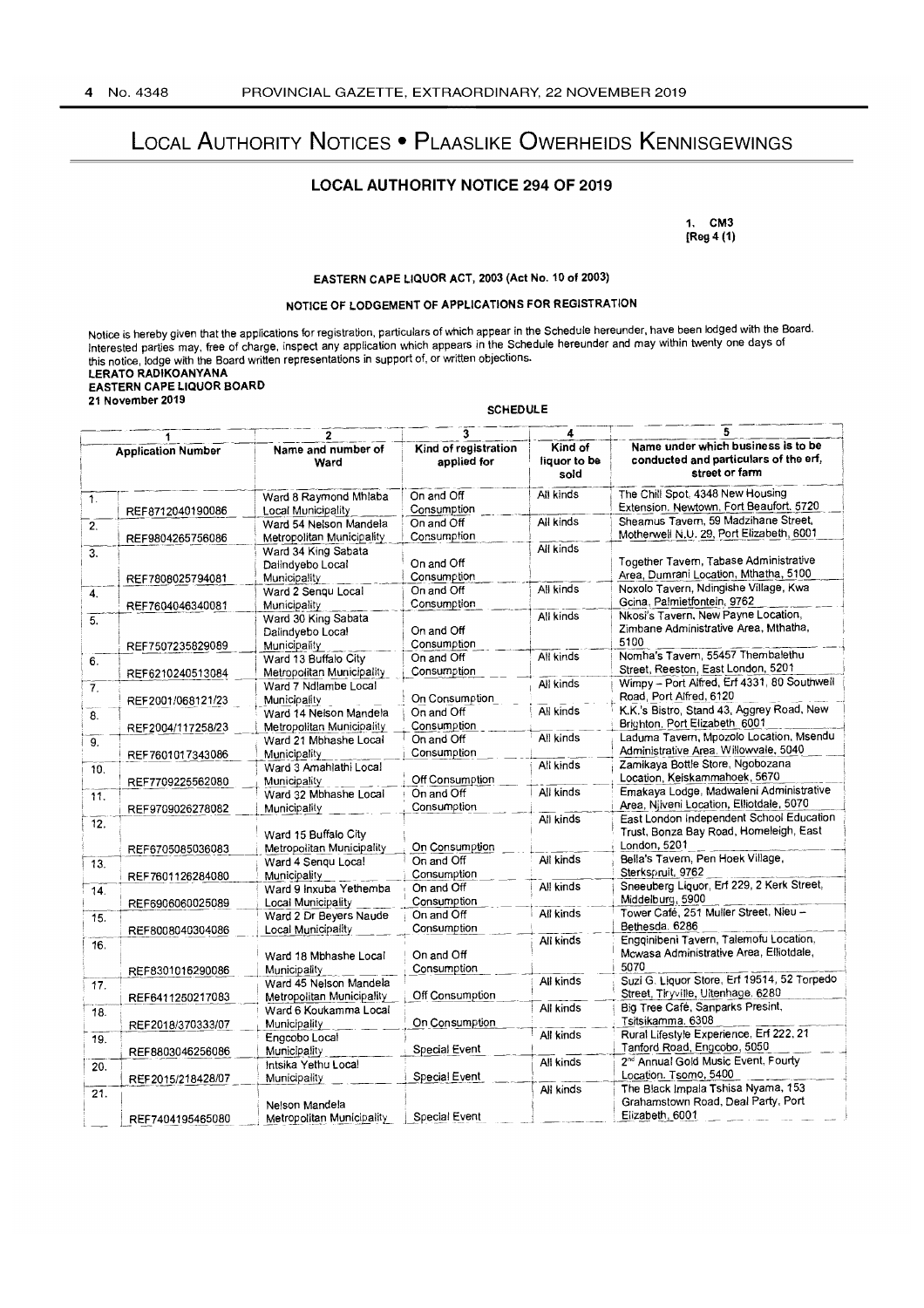# LOCAL AUTHORITY NOTICES • PLAASLIKE OWERHEIDS KENNISGEWINGS

# **LOCAL AUTHORITY NOTICE 294 OF 2019**

1. CM3 [Reg 4 (1)

### EASTERN CAPE LIQUOR ACT, 2003 (Act No. 10 of 2003)

# NOTICE OF LODGEMENT OF APPLICATIONS FOR REGISTRATION

Notice is hereby given that the applications for registration, particulars of which appear in the Schedule hereunder, have been lodged with the Board. Interested parties may, free of charge, inspect any application which appears in the Schedule hereunder and may within twenty one days of this notice, lodge with the Board written representations in support of, or written objections. LERATO RADIKOANYANA

EASTERN CAPE LIQUOR BOARD 21 November 2019

SCHEDULE

|                           | 1                 |                                                         |                                     | 4                               |                                                                                                    |  |
|---------------------------|-------------------|---------------------------------------------------------|-------------------------------------|---------------------------------|----------------------------------------------------------------------------------------------------|--|
| <b>Application Number</b> |                   | Name and number of<br>Ward                              | Kind of registration<br>applied for | Kind of<br>liquor to be<br>sold | Name under which business is to be<br>conducted and particulars of the erf,<br>street or farm      |  |
| $\mathbf{1}$ .            | REF8712040190086  | Ward 8 Raymond Mhlaba<br>Local Municipality             | On and Off<br>Consumption           | All kinds                       | The Chill Spot, 4348 New Housing<br>Extension. Newtown, Fort Beaufort. 5720                        |  |
| 2.                        | REF9804265756086  | Ward 54 Nelson Mandela<br>Metropolitan Municipality     | On and Off<br>Consumption           | All kinds                       | Sheamus Tavern, 59 Madzihane Street,<br>Motherwell N.U. 29, Port Elizabeth, 6001                   |  |
| З.                        | REF7808025794081  | Ward 34 King Sabata<br>Dalindyebo Local<br>Municipality | On and Off<br>Consumption           | All kinds                       | Together Tavern, Tabase Administrative<br>Area, Dumrani Location, Mthatha, 5100                    |  |
| 4.                        | REF7604046340081  | Ward 2 Senqu Local<br>Municipality                      | On and Off<br>Consumption           | All kinds                       | Noxolo Tavern, Ndingishe Village, Kwa<br>Gcina, Palmietfontein, 9762                               |  |
| 5.                        | REF7507235829089  | Ward 30 King Sabata<br>Dalindyebo Local<br>Municipality | On and Off<br>Consumption           | All kinds                       | Nkosi's Tavern, New Payne Location,<br>Zimbane Administrative Area, Mthatha,<br>5100               |  |
| 6.                        | REF6210240513084  | Ward 13 Buffalo City<br>Metropolitan Municipality       | On and Off<br>Consumption           | All kinds                       | Nomha's Tayern, 55457 Thembalethu<br>Street, Reeston, East London, 5201                            |  |
| $\overline{7}$ .          | REF2001/068121/23 | Ward 7 Ndlambe Local<br>Municipality                    | On Consumption                      | All kinds                       | Wimpy - Port Alfred, Erf 4331, 80 Southwell<br>Road, Port Alfred, 6120                             |  |
| 8.                        | REF2004/117258/23 | Ward 14 Nelson Mandela<br>Metropolitan Municipality     | On and Off<br>Consumption           | All kinds                       | K.K.'s Bistro. Stand 43, Aggrey Road, New<br>Brighton, Port Elizabeth_6001                         |  |
| 9.                        | REF7601017343086  | Ward 21 Mbhashe Local<br>Municipality                   | On and Off<br>Consumption           | All kinds                       | Laduma Tavern, Mpozolo Location, Msendu<br>Administrative Area. Willowvale, 5040                   |  |
| 10.                       | REF7709225562080  | Ward 3 Amahlathi Local<br>Municipality                  | Off Consumption                     | All kinds                       | Zamikava Bottle Store, Ngobozana<br>Location, Keiskammahoek, 5670                                  |  |
| 11.                       | REF9709026278082  | Ward 32 Mbhashe Local<br>Municipality                   | On and Off<br>Consumption           | All kinds                       | Emakaya Lodge, Madwaleni Administrative<br>Area, Niiveni Location, Elliotdale, 5070                |  |
| 12.                       | REF6705085036083  | Ward 15 Buffalo City<br>Metropolitan Municipality       | On Consumption                      | All kinds                       | East London Independent School Education<br>Trust, Bonza Bay Road, Homeleigh, East<br>London, 5201 |  |
| 13.                       | REF7601126284080  | Ward 4 Sengu Local<br>Municipality                      | On and Off<br>Consumption           | All kinds                       | Bella's Tavern, Pen Hoek Village,<br>Sterkspruit, 9762                                             |  |
| 14.                       | REF6906060025089  | Ward 9 Inxuba Yethemba<br>Local Municipality            | On and Off<br>Consumption           | All kinds                       | Sneeuberg Liquor, Erf 229, 2 Kerk Street,<br>Middelburg, 5900                                      |  |
| 15.                       | REF8008040304086  | Ward 2 Dr Beyers Naude<br>Local Municipality            | On and Off<br>Consumption           | All kinds                       | Tower Café, 251 Muller Street, Nieu -<br>Bethesda, 6286                                            |  |
| 16.                       | REF8301016290086  | Ward 18 Mbhashe Local<br>Municipality                   | On and Off<br>Consumption           | All kinds                       | Engginibeni Tavern, Talemofu Location,<br>Mcwasa Administrative Area, Elliotdale,<br>5070          |  |
| 17.                       | REF6411250217083  | Ward 45 Nelson Mandela<br>Metropolitan Municipality     | Off Consumption                     | All kinds                       | Suzi G. Liquor Store, Erf 19514, 52 Torpedo<br>Street, Tiryville, Uitenhage, 6280                  |  |
| 18.                       | REF2018/370333/07 | Ward 6 Koukamma Local<br>Municipality                   | On Consumption                      | All kinds                       | Big Tree Café, Sanparks Presint,<br>Tsitsikamma. 6308                                              |  |
| 19.                       | REF8803046256086  | Engcobo Local<br>Municipality                           | Special Event                       | All kinds                       | Rural Lifestyle Experience, Erf 222, 21<br>Tanford Road, Engcobo, 5050                             |  |
| 20.                       | REF2015/218428/07 | Intsika Yethu Local<br>Municipality                     | Special Event                       | All kinds                       | 2 <sup>nd</sup> Annual Gold Music Event, Fourty<br>Location. Tsomo, 5400                           |  |
| 21.                       | REF7404195465080  | Nelson Mandela<br>Metropolitan Municipality             | Special Event                       | All kinds                       | The Black Impala Tshisa Nyama, 153<br>Grahamstown Road, Deal Party, Port<br>Elizabeth, 6001        |  |